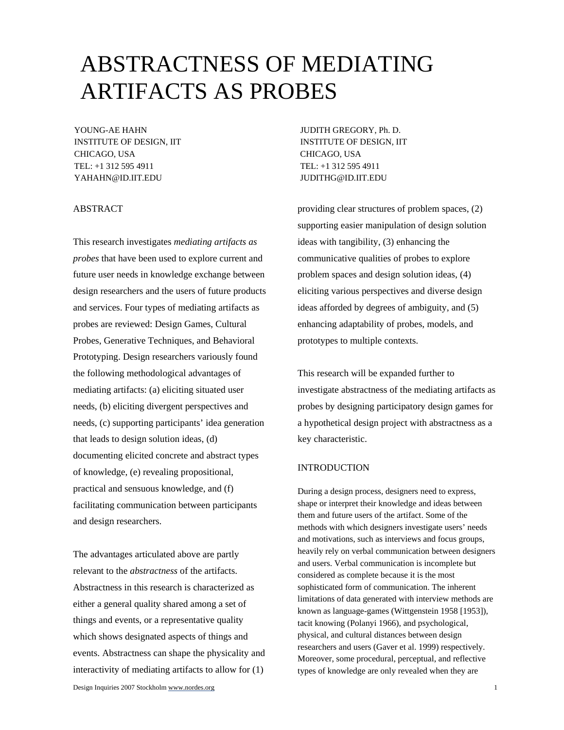# ABSTRACTNESS OF MEDIATING ARTIFACTS AS PROBES

INSTITUTE OF DESIGN, IIT **INSTITUTE OF DESIGN, IIT** CHICAGO, USA CHICAGO, USA TEL: +1 312 595 4911 TEL: +1 312 595 4911 YAHAHN@ID.IIT.EDU JUDITHG@ID.IIT.EDU

## ABSTRACT

This research investigates *mediating artifacts as probes* that have been used to explore current and future user needs in knowledge exchange between design researchers and the users of future products and services. Four types of mediating artifacts as probes are reviewed: Design Games, Cultural Probes, Generative Techniques, and Behavioral Prototyping. Design researchers variously found the following methodological advantages of mediating artifacts: (a) eliciting situated user needs, (b) eliciting divergent perspectives and needs, (c) supporting participants' idea generation that leads to design solution ideas, (d) documenting elicited concrete and abstract types of knowledge, (e) revealing propositional, practical and sensuous knowledge, and (f) facilitating communication between participants and design researchers.

The advantages articulated above are partly relevant to the *abstractness* of the artifacts. Abstractness in this research is characterized as either a general quality shared among a set of things and events, or a representative quality which shows designated aspects of things and events. Abstractness can shape the physicality and interactivity of mediating artifacts to allow for (1)

Design Inquiries 2007 Stockholm www.nordes.org 1

YOUNG-AE HAHN **JUDITH GREGORY, Ph. D.** 

providing clear structures of problem spaces, (2) supporting easier manipulation of design solution ideas with tangibility, (3) enhancing the communicative qualities of probes to explore problem spaces and design solution ideas, (4) eliciting various perspectives and diverse design ideas afforded by degrees of ambiguity, and (5) enhancing adaptability of probes, models, and prototypes to multiple contexts.

This research will be expanded further to investigate abstractness of the mediating artifacts as probes by designing participatory design games for a hypothetical design project with abstractness as a key characteristic.

## INTRODUCTION

During a design process, designers need to express, shape or interpret their knowledge and ideas between them and future users of the artifact. Some of the methods with which designers investigate users' needs and motivations, such as interviews and focus groups, heavily rely on verbal communication between designers and users. Verbal communication is incomplete but considered as complete because it is the most sophisticated form of communication. The inherent limitations of data generated with interview methods are known as language-games (Wittgenstein 1958 [1953]), tacit knowing (Polanyi 1966), and psychological, physical, and cultural distances between design researchers and users (Gaver et al. 1999) respectively. Moreover, some procedural, perceptual, and reflective types of knowledge are only revealed when they are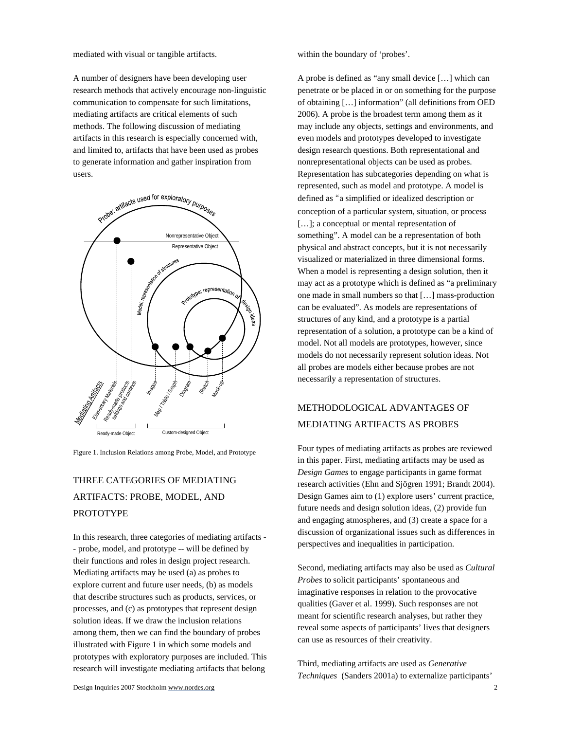mediated with visual or tangible artifacts.

A number of designers have been developing user research methods that actively encourage non-linguistic communication to compensate for such limitations, mediating artifacts are critical elements of such methods. The following discussion of mediating artifacts in this research is especially concerned with, and limited to, artifacts that have been used as probes to generate information and gather inspiration from users.



Figure 1. Inclusion Relations among Probe, Model, and Prototype

# THREE CATEGORIES OF MEDIATING ARTIFACTS: PROBE, MODEL, AND PROTOTYPE

In this research, three categories of mediating artifacts - - probe, model, and prototype -- will be defined by their functions and roles in design project research. Mediating artifacts may be used (a) as probes to explore current and future user needs, (b) as models that describe structures such as products, services, or processes, and (c) as prototypes that represent design solution ideas. If we draw the inclusion relations among them, then we can find the boundary of probes illustrated with Figure 1 in which some models and prototypes with exploratory purposes are included. This research will investigate mediating artifacts that belong

within the boundary of 'probes'.

A probe is defined as "any small device […] which can penetrate or be placed in or on something for the purpose of obtaining […] information" (all definitions from OED 2006). A probe is the broadest term among them as it may include any objects, settings and environments, and even models and prototypes developed to investigate design research questions. Both representational and nonrepresentational objects can be used as probes. Representation has subcategories depending on what is represented, such as model and prototype. A model is defined as "a simplified or idealized description or conception of a particular system, situation, or process [...]; a conceptual or mental representation of something". A model can be a representation of both physical and abstract concepts, but it is not necessarily visualized or materialized in three dimensional forms. When a model is representing a design solution, then it may act as a prototype which is defined as "a preliminary one made in small numbers so that […] mass-production can be evaluated". As models are representations of structures of any kind, and a prototype is a partial representation of a solution, a prototype can be a kind of model. Not all models are prototypes, however, since models do not necessarily represent solution ideas. Not all probes are models either because probes are not necessarily a representation of structures.

# METHODOLOGICAL ADVANTAGES OF MEDIATING ARTIFACTS AS PROBES

Four types of mediating artifacts as probes are reviewed in this paper. First, mediating artifacts may be used as *Design Games* to engage participants in game format research activities (Ehn and Sjögren 1991; Brandt 2004). Design Games aim to (1) explore users' current practice, future needs and design solution ideas, (2) provide fun and engaging atmospheres, and (3) create a space for a discussion of organizational issues such as differences in perspectives and inequalities in participation.

Second, mediating artifacts may also be used as *Cultural Probes* to solicit participants' spontaneous and imaginative responses in relation to the provocative qualities (Gaver et al. 1999). Such responses are not meant for scientific research analyses, but rather they reveal some aspects of participants' lives that designers can use as resources of their creativity.

Third, mediating artifacts are used as *Generative Techniques* (Sanders 2001a) to externalize participants'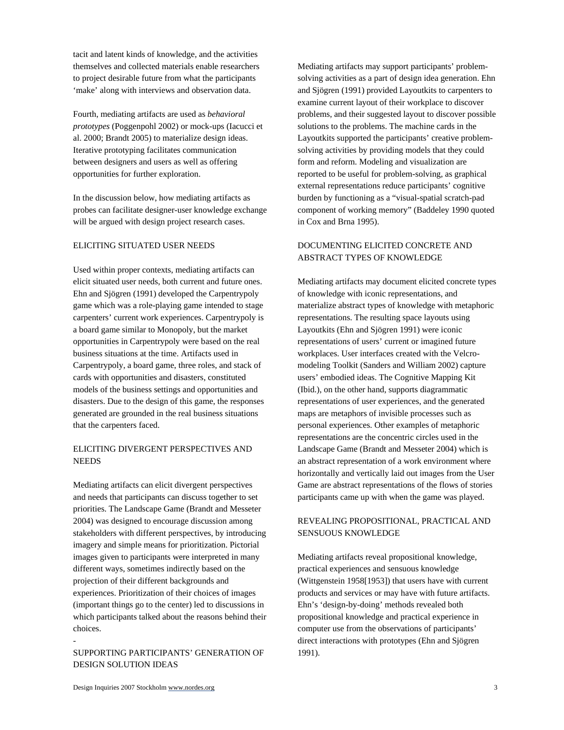tacit and latent kinds of knowledge, and the activities themselves and collected materials enable researchers to project desirable future from what the participants 'make' along with interviews and observation data.

Fourth, mediating artifacts are used as *behavioral prototypes* (Poggenpohl 2002) or mock-ups (Iacucci et al. 2000; Brandt 2005) to materialize design ideas. Iterative prototyping facilitates communication between designers and users as well as offering opportunities for further exploration.

In the discussion below, how mediating artifacts as probes can facilitate designer-user knowledge exchange will be argued with design project research cases.

#### ELICITING SITUATED USER NEEDS

Used within proper contexts, mediating artifacts can elicit situated user needs, both current and future ones. Ehn and Sjögren (1991) developed the Carpentrypoly game which was a role-playing game intended to stage carpenters' current work experiences. Carpentrypoly is a board game similar to Monopoly, but the market opportunities in Carpentrypoly were based on the real business situations at the time. Artifacts used in Carpentrypoly, a board game, three roles, and stack of cards with opportunities and disasters, constituted models of the business settings and opportunities and disasters. Due to the design of this game, the responses generated are grounded in the real business situations that the carpenters faced.

# ELICITING DIVERGENT PERSPECTIVES AND **NEEDS**

Mediating artifacts can elicit divergent perspectives and needs that participants can discuss together to set priorities. The Landscape Game (Brandt and Messeter 2004) was designed to encourage discussion among stakeholders with different perspectives, by introducing imagery and simple means for prioritization. Pictorial images given to participants were interpreted in many different ways, sometimes indirectly based on the projection of their different backgrounds and experiences. Prioritization of their choices of images (important things go to the center) led to discussions in which participants talked about the reasons behind their choices.

# SUPPORTING PARTICIPANTS' GENERATION OF DESIGN SOLUTION IDEAS

Mediating artifacts may support participants' problemsolving activities as a part of design idea generation. Ehn and Sjögren (1991) provided Layoutkits to carpenters to examine current layout of their workplace to discover problems, and their suggested layout to discover possible solutions to the problems. The machine cards in the Layoutkits supported the participants' creative problemsolving activities by providing models that they could form and reform. Modeling and visualization are reported to be useful for problem-solving, as graphical external representations reduce participants' cognitive burden by functioning as a "visual-spatial scratch-pad component of working memory" (Baddeley 1990 quoted in Cox and Brna 1995).

# DOCUMENTING ELICITED CONCRETE AND ABSTRACT TYPES OF KNOWLEDGE

Mediating artifacts may document elicited concrete types of knowledge with iconic representations, and materialize abstract types of knowledge with metaphoric representations. The resulting space layouts using Layoutkits (Ehn and Sjögren 1991) were iconic representations of users' current or imagined future workplaces. User interfaces created with the Velcromodeling Toolkit (Sanders and William 2002) capture users' embodied ideas. The Cognitive Mapping Kit (Ibid.), on the other hand, supports diagrammatic representations of user experiences, and the generated maps are metaphors of invisible processes such as personal experiences. Other examples of metaphoric representations are the concentric circles used in the Landscape Game (Brandt and Messeter 2004) which is an abstract representation of a work environment where horizontally and vertically laid out images from the User Game are abstract representations of the flows of stories participants came up with when the game was played.

# REVEALING PROPOSITIONAL, PRACTICAL AND SENSUOUS KNOWLEDGE

Mediating artifacts reveal propositional knowledge, practical experiences and sensuous knowledge (Wittgenstein 1958[1953]) that users have with current products and services or may have with future artifacts. Ehn's 'design-by-doing' methods revealed both propositional knowledge and practical experience in computer use from the observations of participants' direct interactions with prototypes (Ehn and Sjögren 1991).

-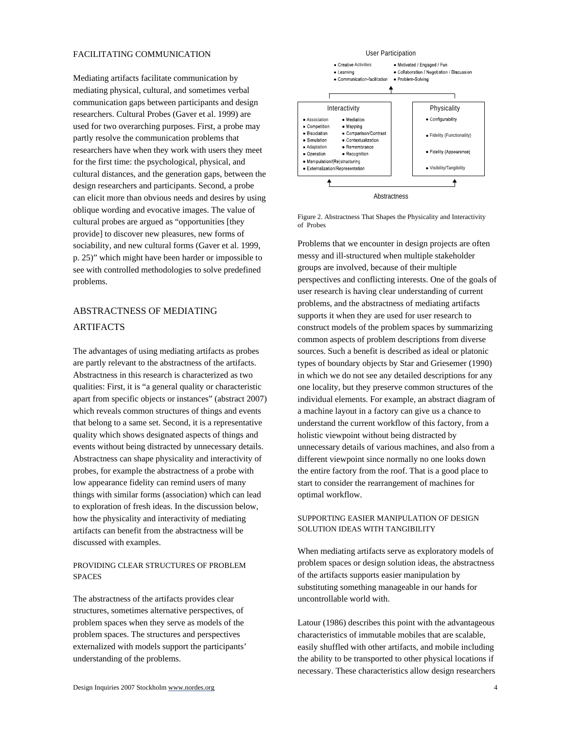#### FACILITATING COMMUNICATION

Mediating artifacts facilitate communication by mediating physical, cultural, and sometimes verbal communication gaps between participants and design researchers. Cultural Probes (Gaver et al. 1999) are used for two overarching purposes. First, a probe may partly resolve the communication problems that researchers have when they work with users they meet for the first time: the psychological, physical, and cultural distances, and the generation gaps, between the design researchers and participants. Second, a probe can elicit more than obvious needs and desires by using oblique wording and evocative images. The value of cultural probes are argued as "opportunities [they provide] to discover new pleasures, new forms of sociability, and new cultural forms (Gaver et al. 1999, p. 25)" which might have been harder or impossible to see with controlled methodologies to solve predefined problems.

# ABSTRACTNESS OF MEDIATING ARTIFACTS

The advantages of using mediating artifacts as probes are partly relevant to the abstractness of the artifacts. Abstractness in this research is characterized as two qualities: First, it is "a general quality or characteristic apart from specific objects or instances" (abstract 2007) which reveals common structures of things and events that belong to a same set. Second, it is a representative quality which shows designated aspects of things and events without being distracted by unnecessary details. Abstractness can shape physicality and interactivity of probes, for example the abstractness of a probe with low appearance fidelity can remind users of many things with similar forms (association) which can lead to exploration of fresh ideas. In the discussion below, how the physicality and interactivity of mediating artifacts can benefit from the abstractness will be discussed with examples.

# PROVIDING CLEAR STRUCTURES OF PROBLEM SPACES

The abstractness of the artifacts provides clear structures, sometimes alternative perspectives, of problem spaces when they serve as models of the problem spaces. The structures and perspectives externalized with models support the participants' understanding of the problems.



Figure 2. Abstractness That Shapes the Physicality and Interactivity of Probes

Problems that we encounter in design projects are often messy and ill-structured when multiple stakeholder groups are involved, because of their multiple perspectives and conflicting interests. One of the goals of user research is having clear understanding of current problems, and the abstractness of mediating artifacts supports it when they are used for user research to construct models of the problem spaces by summarizing common aspects of problem descriptions from diverse sources. Such a benefit is described as ideal or platonic types of boundary objects by Star and Griesemer (1990) in which we do not see any detailed descriptions for any one locality, but they preserve common structures of the individual elements. For example, an abstract diagram of a machine layout in a factory can give us a chance to understand the current workflow of this factory, from a holistic viewpoint without being distracted by unnecessary details of various machines, and also from a different viewpoint since normally no one looks down the entire factory from the roof. That is a good place to start to consider the rearrangement of machines for optimal workflow.

#### SUPPORTING EASIER MANIPULATION OF DESIGN SOLUTION IDEAS WITH TANGIBILITY

When mediating artifacts serve as exploratory models of problem spaces or design solution ideas, the abstractness of the artifacts supports easier manipulation by substituting something manageable in our hands for uncontrollable world with.

Latour (1986) describes this point with the advantageous characteristics of immutable mobiles that are scalable, easily shuffled with other artifacts, and mobile including the ability to be transported to other physical locations if necessary. These characteristics allow design researchers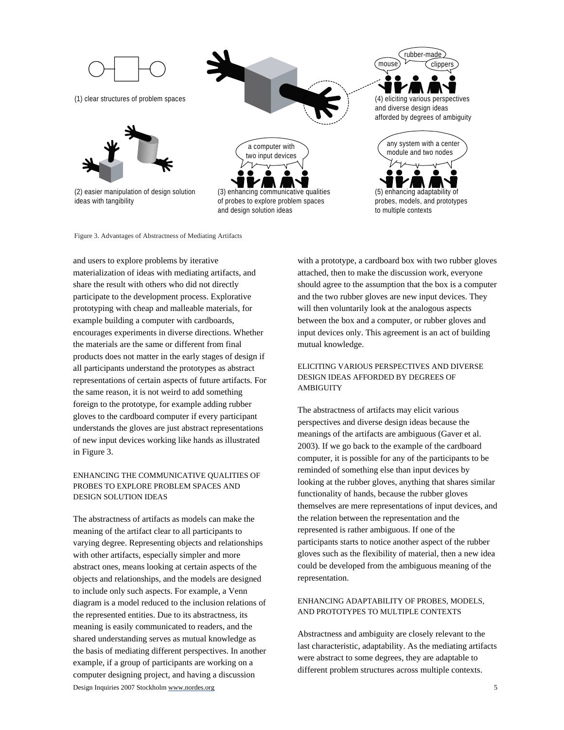



(2) easier manipulation of design solution ideas with tangibility





(3) enhancing communicative qualities of probes to explore problem spaces and design solution ideas

 $(mouse)$   $\sqrt{c}$  clippers and diverse design ideas afforded by degrees of ambiguity

rubber-made



Figure 3. Advantages of Abstractness of Mediating Artifacts

and users to explore problems by iterative materialization of ideas with mediating artifacts, and share the result with others who did not directly participate to the development process. Explorative prototyping with cheap and malleable materials, for example building a computer with cardboards, encourages experiments in diverse directions. Whether the materials are the same or different from final products does not matter in the early stages of design if all participants understand the prototypes as abstract representations of certain aspects of future artifacts. For the same reason, it is not weird to add something foreign to the prototype, for example adding rubber gloves to the cardboard computer if every participant understands the gloves are just abstract representations of new input devices working like hands as illustrated in Figure 3.

# ENHANCING THE COMMUNICATIVE QUALITIES OF PROBES TO EXPLORE PROBLEM SPACES AND DESIGN SOLUTION IDEAS

Design Inquiries 2007 Stockholm www.nordes.org 5 The abstractness of artifacts as models can make the meaning of the artifact clear to all participants to varying degree. Representing objects and relationships with other artifacts, especially simpler and more abstract ones, means looking at certain aspects of the objects and relationships, and the models are designed to include only such aspects. For example, a Venn diagram is a model reduced to the inclusion relations of the represented entities. Due to its abstractness, its meaning is easily communicated to readers, and the shared understanding serves as mutual knowledge as the basis of mediating different perspectives. In another example, if a group of participants are working on a computer designing project, and having a discussion

with a prototype, a cardboard box with two rubber gloves attached, then to make the discussion work, everyone should agree to the assumption that the box is a computer and the two rubber gloves are new input devices. They will then voluntarily look at the analogous aspects between the box and a computer, or rubber gloves and input devices only. This agreement is an act of building mutual knowledge.

# ELICITING VARIOUS PERSPECTIVES AND DIVERSE DESIGN IDEAS AFFORDED BY DEGREES OF **AMBIGUITY**

The abstractness of artifacts may elicit various perspectives and diverse design ideas because the meanings of the artifacts are ambiguous (Gaver et al. 2003). If we go back to the example of the cardboard computer, it is possible for any of the participants to be reminded of something else than input devices by looking at the rubber gloves, anything that shares similar functionality of hands, because the rubber gloves themselves are mere representations of input devices, and the relation between the representation and the represented is rather ambiguous. If one of the participants starts to notice another aspect of the rubber gloves such as the flexibility of material, then a new idea could be developed from the ambiguous meaning of the representation.

# ENHANCING ADAPTABILITY OF PROBES, MODELS, AND PROTOTYPES TO MULTIPLE CONTEXTS

Abstractness and ambiguity are closely relevant to the last characteristic, adaptability. As the mediating artifacts were abstract to some degrees, they are adaptable to different problem structures across multiple contexts.